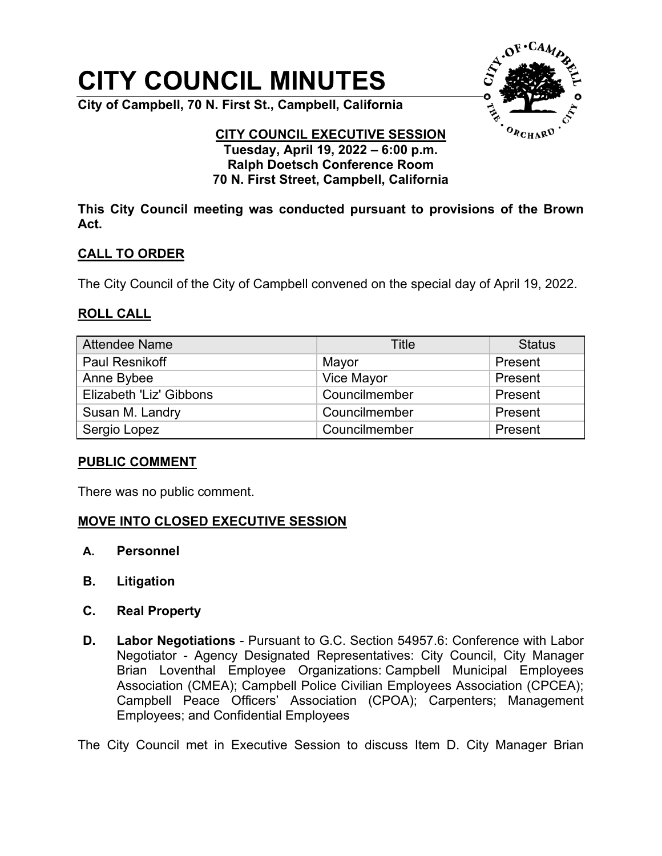# **CITY COUNCIL MINUTES**

**City of Campbell, 70 N. First St., Campbell, California**



#### **CITY COUNCIL EXECUTIVE SESSION Tuesday, April 19, 2022 – 6:00 p.m. Ralph Doetsch Conference Room 70 N. First Street, Campbell, California**

**This City Council meeting was conducted pursuant to provisions of the Brown Act.**

## **CALL TO ORDER**

The City Council of the City of Campbell convened on the special day of April 19, 2022.

### **ROLL CALL**

| <b>Attendee Name</b>    | Title         | <b>Status</b> |
|-------------------------|---------------|---------------|
| <b>Paul Resnikoff</b>   | Mayor         | Present       |
| Anne Bybee              | Vice Mayor    | Present       |
| Elizabeth 'Liz' Gibbons | Councilmember | Present       |
| Susan M. Landry         | Councilmember | Present       |
| Sergio Lopez            | Councilmember | Present       |

### **PUBLIC COMMENT**

There was no public comment.

### **MOVE INTO CLOSED EXECUTIVE SESSION**

- **A. Personnel**
- **B. Litigation**
- **C. Real Property**
- **D. Labor Negotiations** Pursuant to G.C. Section 54957.6: Conference with Labor Negotiator - Agency Designated Representatives: City Council, City Manager Brian Loventhal Employee Organizations: Campbell Municipal Employees Association (CMEA); Campbell Police Civilian Employees Association (CPCEA); Campbell Peace Officers' Association (CPOA); Carpenters; Management Employees; and Confidential Employees

The City Council met in Executive Session to discuss Item D. City Manager Brian